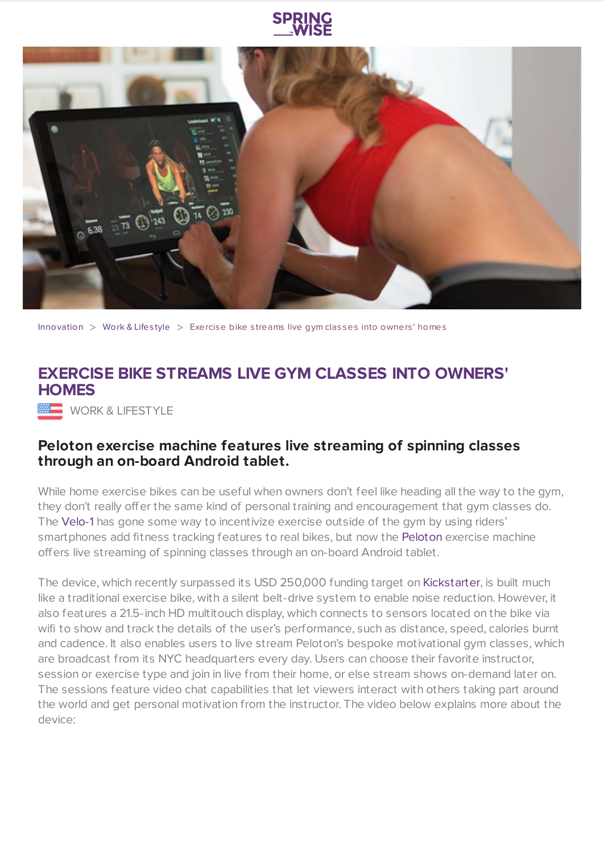



[Innovation](https://www.springwise.com/search?type=innovation)  $>$  [Work](https://www.springwise.com/search?type=innovation§or=work-lifestyle) & Lifestyle  $>$  Exercise bike streams live gym classes into owners' homes

## **EXERCISE BIKE STREAMS LIVE GYM CLASSES INTO OWNERS' HOMES**

**WORK & LIFESTYLE** 

## **Peloton exercise machine features live streaming of spinning classes through an on-board Android tablet.**

While home exercise bikes can be useful when owners don't feel like heading all the way to the gym, they don't really offer the same kind of personal training and encouragement that gym classes do. The [Velo-1](https://www.springwise.com/open-source-e-bike-smartphone-on-board-computer/) has gone some way to incentivize exercise outside of the gym by using riders' smartphones add fitness tracking features to real bikes, but now the [Peloton](http://pelotoncycle.com/) exercise machine offers live streaming of spinning classes through an on-board Android tablet.

The device, which recently surpassed its USD 250,000 funding target on [Kickstarter](http://www.kickstarter.com/projects/568069889/the-peloton-bike-bring-home-the-studio-cycling-exp), is built much like a traditional exercise bike, with a silent belt-drive system to enable noise reduction. However, it also features a 21.5-inch HD multitouch display, which connects to sensors located on the bike via wifi to show and track the details of the user's performance, such as distance, speed, calories burnt and cadence. It also enables users to live stream Peloton's bespoke motivational gym classes, which are broadcast from its NYC headquarters every day. Users can choose their favorite instructor, session or exercise type and join in live from their home, or else stream shows on-demand later on. The sessions feature video chat capabilities that let viewers interact with others taking part around the world and get personal motivation from the instructor. The video below explains more about the device: